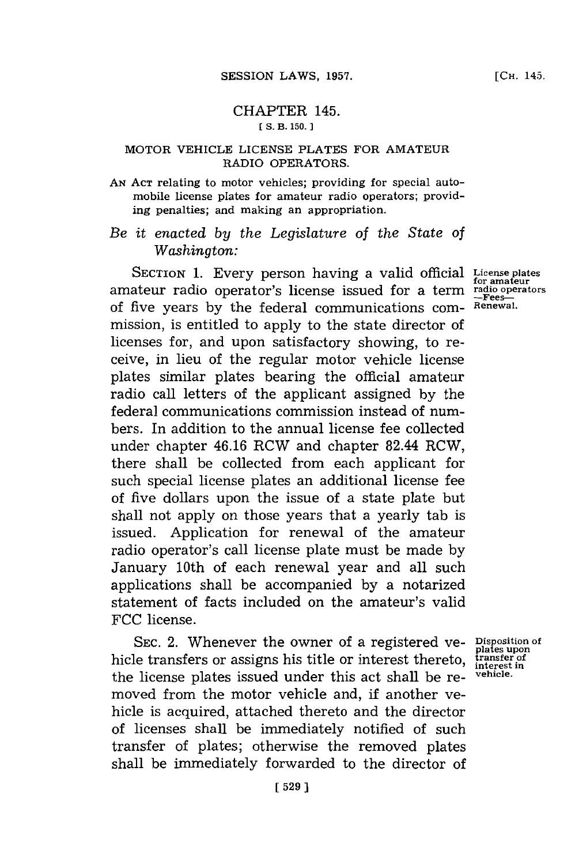## CHAPTER 145. **CS. B. 150.**

## **MOTOR VEHICLE LICENSE PLATES FOR AMATEUR RADIO OPERATORS.**

**AN ACT** relating to motor vehicles; providing for special automobile license plates for amateur radio operators; providing penalties; and making an appropriation.

*Be it enacted by the Legislature of the State of Washington:*

**SECTION 1.** Every person having a valid official **License plates for amnateur** amateur radio operator's license issued for a term **radio operators -Fees**of five years **by** the federal communications commission, is entitled to apply to the state director of licenses for, and upon satisfactory showing, to receive, in lieu of the regular motor vehicle license plates similar plates bearing the official amateur radio call letters of the applicant assigned **by** the federal communications commission instead of numbers. In addition to the annual license fee collected under chapter 46.16 RCW and chapter 82.44 RCW, there shall be collected from each applicant for such special license plates an additional license fee of five dollars upon the issue of a state plate but shall not apply on those years that a yearly tab is issued. Application for renewal of the amateur radio operator's call license plate must be made **by** January 10th of each renewal year and all such applications shall be accompanied **by** a notarized statement of facts included on the amateur's valid **FCC** license.

SEC. 2. Whenever the owner of a registered ve- Disposition of hicle transfers or assigns his title or interest thereto, the license plates issued under this act shall be removed from the motor vehicle and, **if** another vehicle is acquired, attached thereto and the director of licenses shall be immediately notified of such transfer of plates; otherwise the removed plates shall be immediately forwarded to the director of

**Renewal.**

**transfer of interest in vehicle.**